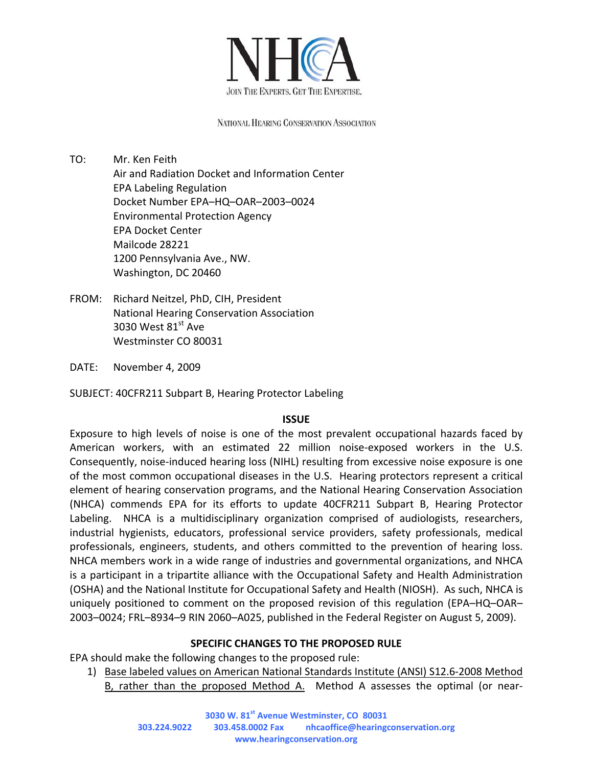

NATIONAL HEARING CONSERVATION ASSOCIATION

TO: Mr. Ken Feith Air and Radiation Docket and Information Center EPA Labeling Regulation Docket Number EPA–HQ–OAR–2003–0024 Environmental Protection Agency EPA Docket Center Mailcode 28221 1200 Pennsylvania Ave., NW. Washington, DC 20460

FROM: Richard Neitzel, PhD, CIH, President National Hearing Conservation Association 3030 West  $81<sup>st</sup>$  Ave Westminster CO 80031

DATE: November 4, 2009

SUBJECT: 40CFR211 Subpart B, Hearing Protector Labeling

## **ISSUE**

Exposure to high levels of noise is one of the most prevalent occupational hazards faced by American workers, with an estimated 22 million noise-exposed workers in the U.S. Consequently, noise‐induced hearing loss (NIHL) resulting from excessive noise exposure is one of the most common occupational diseases in the U.S. Hearing protectors represent a critical element of hearing conservation programs, and the National Hearing Conservation Association (NHCA) commends EPA for its efforts to update 40CFR211 Subpart B, Hearing Protector Labeling. NHCA is a multidisciplinary organization comprised of audiologists, researchers, industrial hygienists, educators, professional service providers, safety professionals, medical professionals, engineers, students, and others committed to the prevention of hearing loss. NHCA members work in a wide range of industries and governmental organizations, and NHCA is a participant in a tripartite alliance with the Occupational Safety and Health Administration (OSHA) and the National Institute for Occupational Safety and Health (NIOSH). As such, NHCA is uniquely positioned to comment on the proposed revision of this regulation (EPA–HQ–OAR– 2003–0024; FRL–8934–9 RIN 2060–A025, published in the Federal Register on August 5, 2009).

## **SPECIFIC CHANGES TO THE PROPOSED RULE**

EPA should make the following changes to the proposed rule:

1) Base labeled values on American National Standards Institute (ANSI) S12.6‐2008 Method B, rather than the proposed Method A. Method A assesses the optimal (or near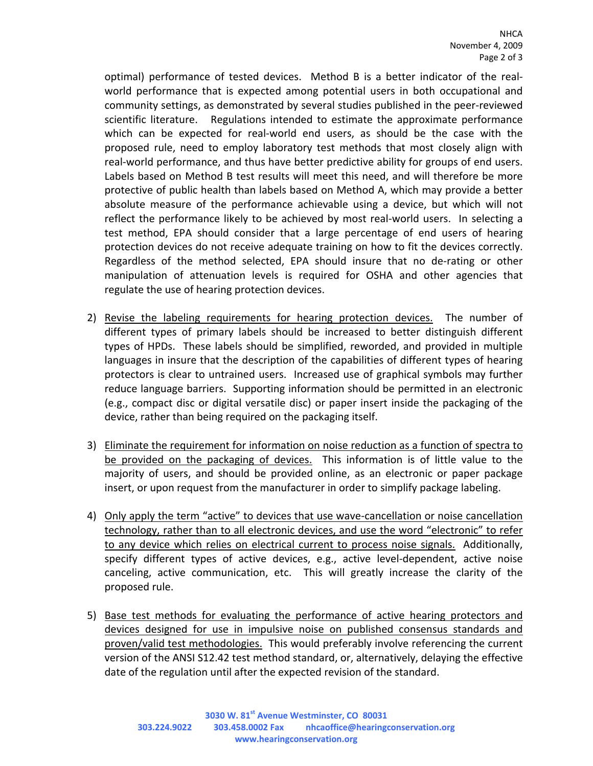optimal) performance of tested devices. Method B is a better indicator of the real‐ world performance that is expected among potential users in both occupational and community settings, as demonstrated by several studies published in the peer-reviewed scientific literature. Regulations intended to estimate the approximate performance which can be expected for real-world end users, as should be the case with the proposed rule, need to employ laboratory test methods that most closely align with real-world performance, and thus have better predictive ability for groups of end users. Labels based on Method B test results will meet this need, and will therefore be more protective of public health than labels based on Method A, which may provide a better absolute measure of the performance achievable using a device, but which will not reflect the performance likely to be achieved by most real-world users. In selecting a test method, EPA should consider that a large percentage of end users of hearing protection devices do not receive adequate training on how to fit the devices correctly. Regardless of the method selected, EPA should insure that no de‐rating or other manipulation of attenuation levels is required for OSHA and other agencies that regulate the use of hearing protection devices.

- 2) Revise the labeling requirements for hearing protection devices. The number of different types of primary labels should be increased to better distinguish different types of HPDs. These labels should be simplified, reworded, and provided in multiple languages in insure that the description of the capabilities of different types of hearing protectors is clear to untrained users. Increased use of graphical symbols may further reduce language barriers. Supporting information should be permitted in an electronic (e.g., compact disc or digital versatile disc) or paper insert inside the packaging of the device, rather than being required on the packaging itself.
- 3) Eliminate the requirement for information on noise reduction as a function of spectra to be provided on the packaging of devices. This information is of little value to the majority of users, and should be provided online, as an electronic or paper package insert, or upon request from the manufacturer in order to simplify package labeling.
- 4) Only apply the term "active" to devices that use wave-cancellation or noise cancellation technology, rather than to all electronic devices, and use the word "electronic" to refer to any device which relies on electrical current to process noise signals. Additionally, specify different types of active devices, e.g., active level-dependent, active noise canceling, active communication, etc. This will greatly increase the clarity of the proposed rule.
- 5) Base test methods for evaluating the performance of active hearing protectors and devices designed for use in impulsive noise on published consensus standards and proven/valid test methodologies. This would preferably involve referencing the current version of the ANSI S12.42 test method standard, or, alternatively, delaying the effective date of the regulation until after the expected revision of the standard.